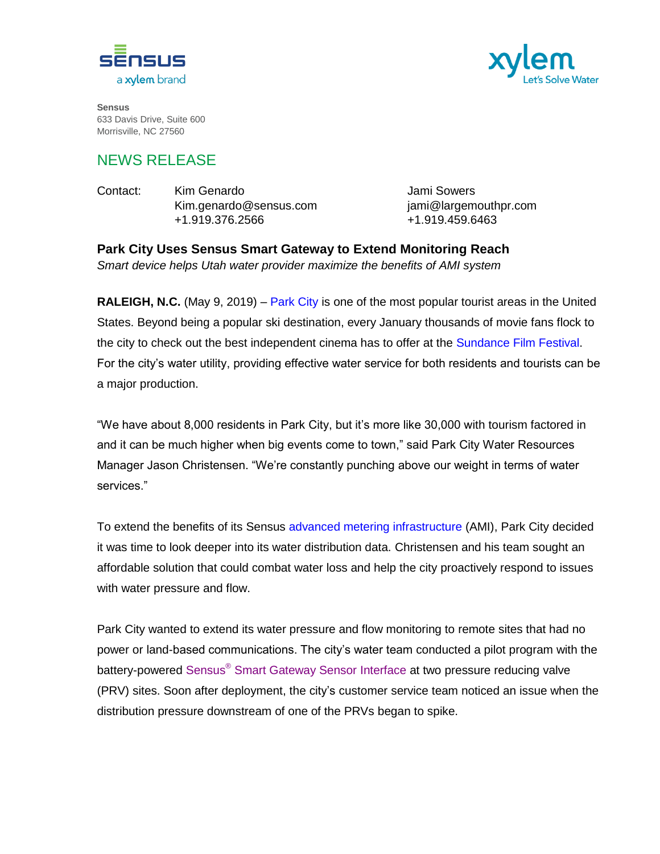



**Sensus** 633 Davis Drive, Suite 600 Morrisville, NC 27560

## NEWS RELEASE

Contact: Kim Genardo Jami Sowers Kim.genardo@sensus.com jami@largemouthpr.com +1.919.376.2566 +1.919.459.6463

**Park City Uses Sensus Smart Gateway to Extend Monitoring Reach**  *Smart device helps Utah water provider maximize the benefits of AMI system*

**RALEIGH, N.C.** (May 9, 2019) – [Park City](https://www.parkcity.org/departments/public-utilities-streets/water-division) is one of the most popular tourist areas in the United States. Beyond being a popular ski destination, every January thousands of movie fans flock to the city to check out the best independent cinema has to offer at the [Sundance Film Festival.](http://www.sundance.org/festivals/sundance-film-festival) For the city's water utility, providing effective water service for both residents and tourists can be a major production.

"We have about 8,000 residents in Park City, but it's more like 30,000 with tourism factored in and it can be much higher when big events come to town," said Park City Water Resources Manager Jason Christensen. "We're constantly punching above our weight in terms of water services."

To extend the benefits of its Sensus [advanced metering infrastructure](https://sensus.com/solutions/advanced-metering-infrastructure-ami/) (AMI), Park City decided it was time to look deeper into its water distribution data. Christensen and his team sought an affordable solution that could combat water loss and help the city proactively respond to issues with water pressure and flow.

Park City wanted to extend its water pressure and flow monitoring to remote sites that had no power or land-based communications. The city's water team conducted a pilot program with the battery-powered Sensus<sup>®</sup> [Smart Gateway Sensor Interface](https://sensus.com/products/sensus-smart-gateway/) at two pressure reducing valve (PRV) sites. Soon after deployment, the city's customer service team noticed an issue when the distribution pressure downstream of one of the PRVs began to spike.